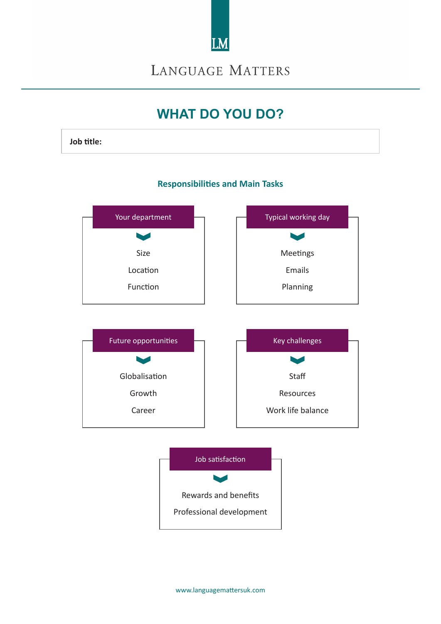

**LANGUAGE MATTERS** 

# **WHAT DO YOU DO?**

**Job title:**

#### **Responsibilities and Main Tasks**

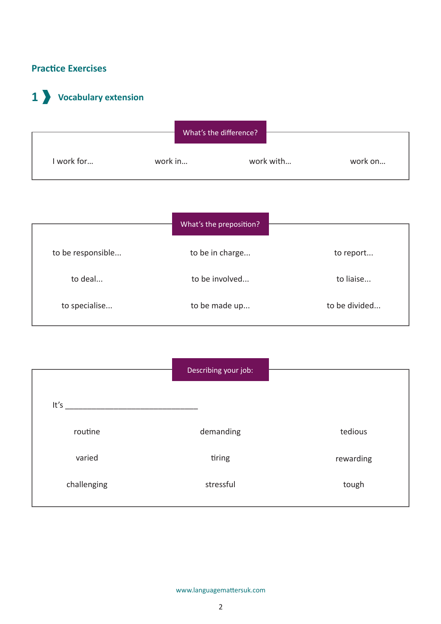### **Practice Exercises**

# **1 Vocabulary extension**



|                   | What's the preposition? |               |
|-------------------|-------------------------|---------------|
| to be responsible | to be in charge         | to report     |
| to deal           | to be involved          | to liaise     |
| to specialise     | to be made up           | to be divided |

|             | Describing your job: |           |
|-------------|----------------------|-----------|
| It's        |                      |           |
| routine     | demanding            | tedious   |
| varied      | tiring               | rewarding |
| challenging | stressful            | tough     |
|             |                      |           |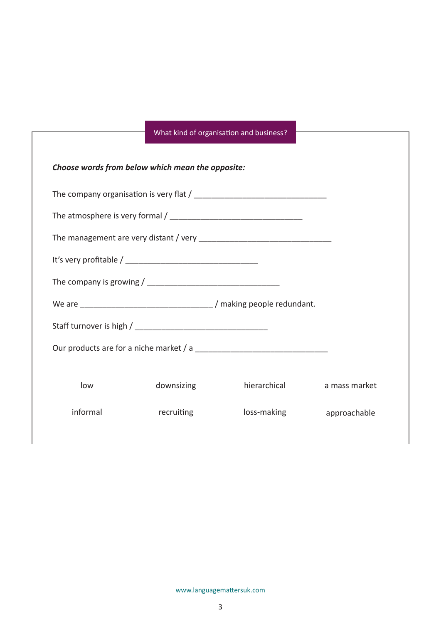### What kind of organisation and business?

|          | Choose words from below which mean the opposite: |              |               |  |
|----------|--------------------------------------------------|--------------|---------------|--|
|          |                                                  |              |               |  |
|          |                                                  |              |               |  |
|          |                                                  |              |               |  |
|          |                                                  |              |               |  |
|          |                                                  |              |               |  |
|          |                                                  |              |               |  |
|          |                                                  |              |               |  |
|          |                                                  |              |               |  |
|          |                                                  |              |               |  |
| low      | downsizing                                       | hierarchical | a mass market |  |
| informal | recruiting                                       | loss-making  | approachable  |  |
|          |                                                  |              |               |  |